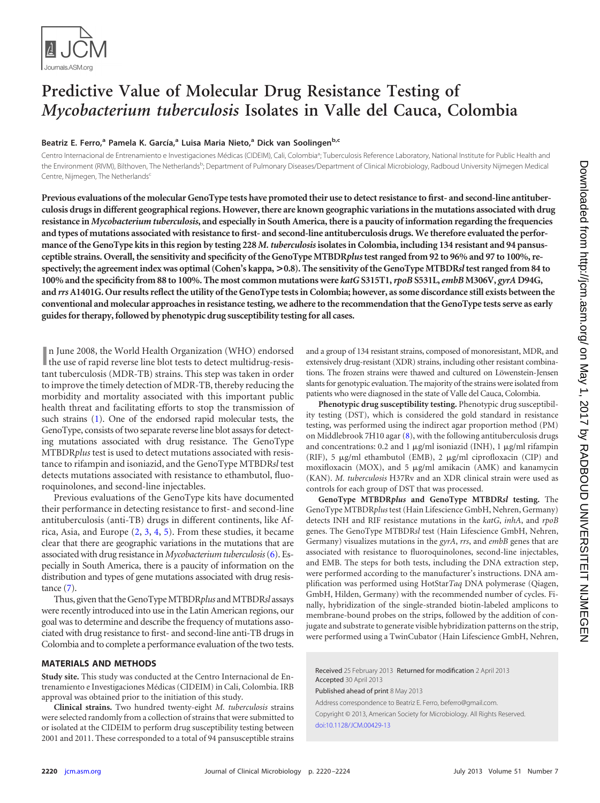

# **Predictive Value of Molecular Drug Resistance Testing of** *Mycobacterium tuberculosis* **Isolates in Valle del Cauca, Colombia**

## **Beatriz E. Ferro, <sup>a</sup> Pamela K. García, <sup>a</sup> Luisa Maria Nieto, <sup>a</sup> Dick van Soolingenb,c**

Centro Internacional de Entrenamiento e Investigaciones Médicas (CIDEIM), Cali, Colombia<sup>a</sup>; Tuberculosis Reference Laboratory, National Institute for Public Health and the Environment (RIVM), Bilthoven, The Netherlands<sup>b</sup>; Department of Pulmonary Diseases/Department of Clinical Microbiology, Radboud University Nijmegen Medical Centre, Nijmegen, The Netherlands

**Previous evaluations of the molecular GenoType tests have promoted their use to detect resistance to first- and second-line antituberculosis drugs in different geographical regions. However, there are known geographic variations in the mutations associated with drug resistance in** *Mycobacterium tuberculosis***, and especially in South America, there is a paucity of information regarding the frequencies and types of mutations associated with resistance to first- and second-line antituberculosis drugs. We therefore evaluated the performance of the GenoType kits in this region by testing 228** *M. tuberculosis***isolates in Colombia, including 134 resistant and 94 pansusceptible strains. Overall, the sensitivity and specificity of the GenoType MTBDR***plus***test ranged from 92 to 96% and 97 to 100%, respectively; the agreement index was optimal (Cohen's kappa, >0.8). The sensitivity of the GenoType MTBDR***sl***test ranged from 84 to 100% and the specificity from 88 to 100%. The most common mutations were** *katG***S315T1,***rpoB* **S531L,** *embB* **M306V,** *gyrA* **D94G, and** *rrs***A1401G. Our results reflect the utility of the GenoType tests in Colombia; however, as some discordance still exists between the conventional and molecular approaches in resistance testing, we adhere to the recommendation that the GenoType tests serve as early guides for therapy, followed by phenotypic drug susceptibility testing for all cases.**

In June 2008, the World Health Organization (WHO) endorsed the use of rapid reverse line blot tests to detect multidrug-resisn June 2008, the World Health Organization (WHO) endorsed tant tuberculosis (MDR-TB) strains. This step was taken in order to improve the timely detection of MDR-TB, thereby reducing the morbidity and mortality associated with this important public health threat and facilitating efforts to stop the transmission of such strains [\(1\)](#page-4-0). One of the endorsed rapid molecular tests, the GenoType, consists of two separate reverse line blot assays for detecting mutations associated with drug resistance. The GenoType MTBDR*plus* test is used to detect mutations associated with resistance to rifampin and isoniazid, and the GenoType MTBDR*sl* test detects mutations associated with resistance to ethambutol, fluoroquinolones, and second-line injectables.

Previous evaluations of the GenoType kits have documented their performance in detecting resistance to first- and second-line antituberculosis (anti-TB) drugs in different continents, like Africa, Asia, and Europe [\(2,](#page-4-1) [3,](#page-4-2) [4,](#page-4-3) [5\)](#page-4-4). From these studies, it became clear that there are geographic variations in the mutations that are associated with drug resistance in *Mycobacterium tuberculosis*[\(6\)](#page-4-5). Especially in South America, there is a paucity of information on the distribution and types of gene mutations associated with drug resistance [\(7\)](#page-4-6).

Thus, given that the GenoType MTBDR*plus* and MTBDR*sl* assays were recently introduced into use in the Latin American regions, our goal was to determine and describe the frequency of mutations associated with drug resistance to first- and second-line anti-TB drugs in Colombia and to complete a performance evaluation of the two tests.

### **MATERIALS AND METHODS**

**Study site.** This study was conducted at the Centro Internacional de Entrenamiento e Investigaciones Médicas (CIDEIM) in Cali, Colombia. IRB approval was obtained prior to the initiation of this study.

**Clinical strains.** Two hundred twenty-eight *M. tuberculosis* strains were selected randomly from a collection of strains that were submitted to or isolated at the CIDEIM to perform drug susceptibility testing between 2001 and 2011. These corresponded to a total of 94 pansusceptible strains

and a group of 134 resistant strains, composed of monoresistant, MDR, and extensively drug-resistant (XDR) strains, including other resistant combinations. The frozen strains were thawed and cultured on Löwenstein-Jensen slants for genotypic evaluation. The majority of the strains were isolated from patients who were diagnosed in the state of Valle del Cauca, Colombia.

**Phenotypic drug susceptibility testing.** Phenotypic drug susceptibility testing (DST), which is considered the gold standard in resistance testing, was performed using the indirect agar proportion method (PM) on Middlebrook 7H10 agar  $(8)$ , with the following antituberculosis drugs and concentrations: 0.2 and 1  $\mu$ g/ml isoniazid (INH), 1  $\mu$ g/ml rifampin (RIF), 5  $\mu$ g/ml ethambutol (EMB), 2  $\mu$ g/ml ciprofloxacin (CIP) and moxifloxacin (MOX), and 5  $\mu$ g/ml amikacin (AMK) and kanamycin (KAN). *M. tuberculosis* H37Rv and an XDR clinical strain were used as controls for each group of DST that was processed.

**GenoType MTBDR***plus* **and GenoType MTBDR***sl* **testing.** The GenoType MTBDR*plus* test (Hain Lifescience GmbH, Nehren, Germany) detects INH and RIF resistance mutations in the *katG*, *inhA*, and *rpoB* genes. The GenoType MTBDR*sl* test (Hain Lifescience GmbH, Nehren, Germany) visualizes mutations in the *gyrA*, *rrs*, and *embB* genes that are associated with resistance to fluoroquinolones, second-line injectables, and EMB. The steps for both tests, including the DNA extraction step, were performed according to the manufacturer's instructions. DNA amplification was performed using HotStar*Taq* DNA polymerase (Qiagen, GmbH, Hilden, Germany) with the recommended number of cycles. Finally, hybridization of the single-stranded biotin-labeled amplicons to membrane-bound probes on the strips, followed by the addition of conjugate and substrate to generate visible hybridization patterns on the strip, were performed using a TwinCubator (Hain Lifescience GmbH, Nehren,

Received 25 February 2013 Returned for modification 2 April 2013 Accepted 30 April 2013

Published ahead of print 8 May 2013

Address correspondence to Beatriz E. Ferro, beferro@gmail.com. Copyright © 2013, American Society for Microbiology. All Rights Reserved. [doi:10.1128/JCM.00429-13](http://dx.doi.org/10.1128/JCM.00429-13)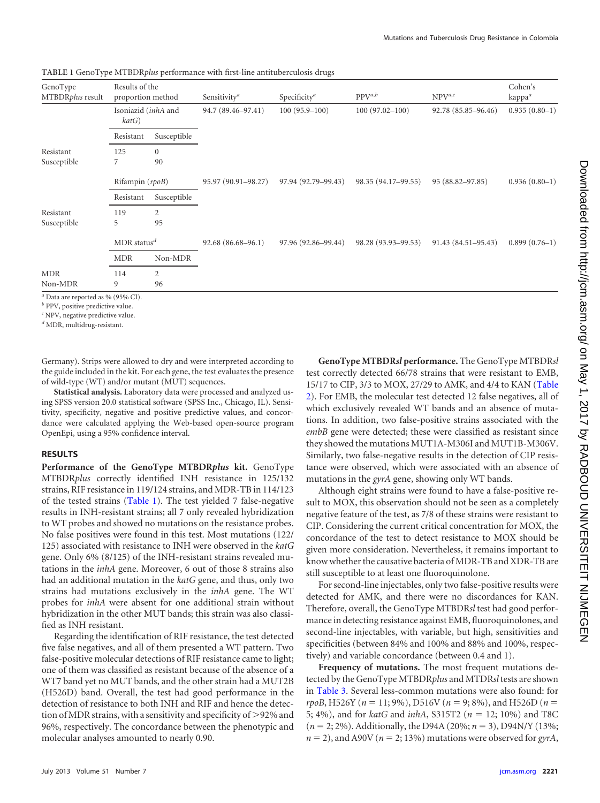| Results of the<br>MTBDRplus result<br>proportion method<br>Isoniazid (inhA and<br>katG) |              | Specificity <sup>a</sup><br>Sensitivity <sup>a</sup><br>$100(95.9 - 100)$<br>94.7 (89.46–97.41) |                     | $PPV^{a,b}$         | $NPV^{a,c}$         | Cohen's<br>kappa <sup>a</sup> |
|-----------------------------------------------------------------------------------------|--------------|-------------------------------------------------------------------------------------------------|---------------------|---------------------|---------------------|-------------------------------|
|                                                                                         |              |                                                                                                 | $100(97.02 - 100)$  | 92.78 (85.85-96.46) | $0.935(0.80-1)$     |                               |
| Resistant                                                                               | Susceptible  |                                                                                                 |                     |                     |                     |                               |
| 125                                                                                     | $\mathbf{0}$ |                                                                                                 |                     |                     |                     |                               |
| 7                                                                                       | 90           |                                                                                                 |                     |                     |                     |                               |
| Rifampin (rpoB)                                                                         |              | 95.97 (90.91-98.27)                                                                             | 97.94 (92.79–99.43) | 98.35 (94.17-99.55) | 95 (88.82-97.85)    | $0.936(0.80-1)$               |
| Resistant                                                                               | Susceptible  |                                                                                                 |                     |                     |                     |                               |
| 119                                                                                     | 2            |                                                                                                 |                     |                     |                     |                               |
| 5                                                                                       | 95           |                                                                                                 |                     |                     |                     |                               |
| $MDR$ status <sup>d</sup>                                                               |              | $92.68(86.68-96.1)$                                                                             | 97.96 (92.86-99.44) | 98.28 (93.93-99.53) | 91.43 (84.51–95.43) | $0.899(0.76-1)$               |
| <b>MDR</b>                                                                              | Non-MDR      |                                                                                                 |                     |                     |                     |                               |
| 114                                                                                     | 2            |                                                                                                 |                     |                     |                     |                               |
| 9                                                                                       | 96           |                                                                                                 |                     |                     |                     |                               |
|                                                                                         |              |                                                                                                 |                     |                     |                     |                               |

<span id="page-1-0"></span>**TABLE 1** GenoType MTBDR*plus* performance with first-line antituberculosis drugs

Data are reported as % (95% CI).

*<sup>b</sup>* PPV, positive predictive value.

*<sup>c</sup>* NPV, negative predictive value.

*<sup>d</sup>* MDR, multidrug-resistant.

Germany). Strips were allowed to dry and were interpreted according to the guide included in the kit. For each gene, the test evaluates the presence of wild-type (WT) and/or mutant (MUT) sequences.

**Statistical analysis.** Laboratory data were processed and analyzed using SPSS version 20.0 statistical software (SPSS Inc., Chicago, IL). Sensitivity, specificity, negative and positive predictive values, and concordance were calculated applying the Web-based open-source program OpenEpi, using a 95% confidence interval.

## **RESULTS**

**Performance of the GenoType MTBDR***plus* **kit.** GenoType MTBDR*plus* correctly identified INH resistance in 125/132 strains, RIF resistance in 119/124 strains, and MDR-TB in 114/123 of the tested strains [\(Table 1\)](#page-1-0). The test yielded 7 false-negative results in INH-resistant strains; all 7 only revealed hybridization to WT probes and showed no mutations on the resistance probes. No false positives were found in this test. Most mutations (122/ 125) associated with resistance to INH were observed in the *katG* gene. Only 6% (8/125) of the INH-resistant strains revealed mutations in the *inhA* gene. Moreover, 6 out of those 8 strains also had an additional mutation in the *katG* gene, and thus, only two strains had mutations exclusively in the *inhA* gene. The WT probes for *inhA* were absent for one additional strain without hybridization in the other MUT bands; this strain was also classified as INH resistant.

Regarding the identification of RIF resistance, the test detected five false negatives, and all of them presented a WT pattern. Two false-positive molecular detections of RIF resistance came to light; one of them was classified as resistant because of the absence of a WT7 band yet no MUT bands, and the other strain had a MUT2B (H526D) band. Overall, the test had good performance in the detection of resistance to both INH and RIF and hence the detection of MDR strains, with a sensitivity and specificity of >92% and 96%, respectively. The concordance between the phenotypic and molecular analyses amounted to nearly 0.90.

**GenoType MTBDR***sl* **performance.** The GenoType MTBDR*sl* test correctly detected 66/78 strains that were resistant to EMB, 15/17 to CIP, 3/3 to MOX, 27/29 to AMK, and 4/4 to KAN [\(Table](#page-2-0) [2\)](#page-2-0). For EMB, the molecular test detected 12 false negatives, all of which exclusively revealed WT bands and an absence of mutations. In addition, two false-positive strains associated with the *embB* gene were detected; these were classified as resistant since they showed the mutations MUT1A-M306I and MUT1B-M306V. Similarly, two false-negative results in the detection of CIP resistance were observed, which were associated with an absence of mutations in the *gyrA* gene, showing only WT bands.

Although eight strains were found to have a false-positive result to MOX, this observation should not be seen as a completely negative feature of the test, as 7/8 of these strains were resistant to CIP. Considering the current critical concentration for MOX, the concordance of the test to detect resistance to MOX should be given more consideration. Nevertheless, it remains important to know whether the causative bacteria of MDR-TB and XDR-TB are still susceptible to at least one fluoroquinolone.

For second-line injectables, only two false-positive results were detected for AMK, and there were no discordances for KAN. Therefore, overall, the GenoType MTBDR*sl* test had good performance in detecting resistance against EMB, fluoroquinolones, and second-line injectables, with variable, but high, sensitivities and specificities (between 84% and 100% and 88% and 100%, respectively) and variable concordance (between 0.4 and 1).

**Frequency of mutations.** The most frequent mutations detected by the GenoType MTBDR*plus* and MTDR*sl* tests are shown in [Table 3.](#page-2-1) Several less-common mutations were also found: for  $rpoB$ , H526Y ( $n = 11$ ; 9%), D516V ( $n = 9$ ; 8%), and H526D ( $n =$ 5; 4%), and for *katG* and *inhA*, S315T2 ( $n = 12$ ; 10%) and T8C ( $n = 2$ ; 2%). Additionally, the D94A (20%;  $n = 3$ ), D94N/Y (13%;  $n = 2$ ), and A90V ( $n = 2$ ; 13%) mutations were observed for *gyrA*,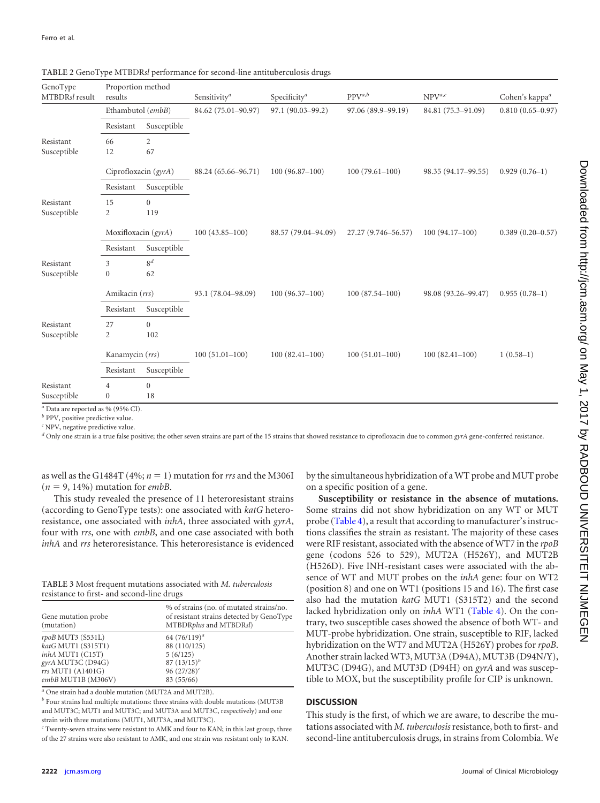$G_{\text{max}}$  T<sub>rans</sub>

| Geno I ype<br>MTBDRsl result | Proportion method<br>results |                | Sensitivity <sup>a</sup> | Specificity <sup>a</sup> | $PPV^{a,b}$         | $NPV^{a,c}$         | Cohen's kappa <sup>a</sup> |
|------------------------------|------------------------------|----------------|--------------------------|--------------------------|---------------------|---------------------|----------------------------|
|                              | Ethambutol (embB)            |                | 84.62 (75.01-90.97)      | 97.1 (90.03-99.2)        | 97.06 (89.9-99.19)  | 84.81 (75.3-91.09)  | $0.810(0.65 - 0.97)$       |
|                              | Resistant                    | Susceptible    |                          |                          |                     |                     |                            |
| Resistant                    | 66                           | $\overline{2}$ |                          |                          |                     |                     |                            |
| Susceptible                  | 12                           | 67             |                          |                          |                     |                     |                            |
|                              | Ciprofloxacin $(gyrA)$       |                | 88.24 (65.66-96.71)      | $100(96.87-100)$         | $100(79.61 - 100)$  | 98.35 (94.17-99.55) | $0.929(0.76-1)$            |
|                              | Resistant                    | Susceptible    |                          |                          |                     |                     |                            |
| Resistant                    | 15                           | $\mathbf{0}$   |                          |                          |                     |                     |                            |
| Susceptible                  | $\overline{2}$               | 119            |                          |                          |                     |                     |                            |
|                              | Moxifloxacin (gyrA)          |                | $100(43.85 - 100)$       | 88.57 (79.04-94.09)      | 27.27 (9.746-56.57) | $100(94.17-100)$    | $0.389(0.20 - 0.57)$       |
|                              | Resistant                    | Susceptible    |                          |                          |                     |                     |                            |
| Resistant                    | 3                            | 8 <sup>d</sup> |                          |                          |                     |                     |                            |
| Susceptible                  | $\boldsymbol{0}$             | 62             |                          |                          |                     |                     |                            |
|                              | Amikacin (rrs)               |                | 93.1 (78.04-98.09)       | $100(96.37-100)$         | $100(87.54 - 100)$  | 98.08 (93.26-99.47) | $0.955(0.78-1)$            |
|                              | Resistant                    | Susceptible    |                          |                          |                     |                     |                            |
| Resistant                    | 27                           | $\mathbf{0}$   |                          |                          |                     |                     |                            |
| Susceptible                  | $\overline{c}$               | 102            |                          |                          |                     |                     |                            |
|                              | Kanamycin (rrs)              |                | $100(51.01 - 100)$       | $100(82.41 - 100)$       | $100(51.01 - 100)$  | $100(82.41-100)$    | $1(0.58-1)$                |
|                              | Resistant                    | Susceptible    |                          |                          |                     |                     |                            |
| Resistant                    | $\overline{4}$               | $\mathbf{0}$   |                          |                          |                     |                     |                            |
| Susceptible                  | $\mathbf{0}$                 | 18             |                          |                          |                     |                     |                            |

<span id="page-2-0"></span>**TABLE 2** GenoType MTBDR*sl* performance for second-line antituberculosis drugs

Proportion method

*<sup>b</sup>* PPV, positive predictive value.

*<sup>c</sup>* NPV, negative predictive value.

*<sup>d</sup>* Only one strain is a true false positive; the other seven strains are part of the 15 strains that showed resistance to ciprofloxacin due to common *gyrA* gene-conferred resistance.

as well as the G1484T (4%;  $n = 1$ ) mutation for *rrs* and the M306I  $(n = 9, 14\%)$  mutation for *embB*.

This study revealed the presence of 11 heteroresistant strains (according to GenoType tests): one associated with *katG* heteroresistance, one associated with *inhA*, three associated with *gyrA*, four with *rrs*, one with *embB*, and one case associated with both *inhA* and *rrs* heteroresistance. This heteroresistance is evidenced

<span id="page-2-1"></span>

| TABLE 3 Most frequent mutations associated with M. tuberculosis |  |
|-----------------------------------------------------------------|--|
| resistance to first- and second-line drugs                      |  |

| Gene mutation probe<br>(mutation) | % of strains (no. of mutated strains/no.<br>of resistant strains detected by GenoType<br>MTBDRplus and MTBDRsl) |
|-----------------------------------|-----------------------------------------------------------------------------------------------------------------|
| rpoB MUT3 (S531L)                 | 64 $(76/119)^{a}$                                                                                               |
| katG MUT1 (S315T1)                | 88 (110/125)                                                                                                    |
| inhA MUT1 (C15T)                  | 5(6/125)                                                                                                        |
| gyrA MUT3C (D94G)                 | $87 (13/15)^{b}$                                                                                                |
| rrs MUT1 (A1401G)                 | 96 $(27/28)^c$                                                                                                  |
| embB MUT1B (M306V)                | 83 (55/66)                                                                                                      |

*<sup>a</sup>* One strain had a double mutation (MUT2A and MUT2B).

*<sup>b</sup>* Four strains had multiple mutations: three strains with double mutations (MUT3B and MUT3C; MUT1 and MUT3C; and MUT3A and MUT3C, respectively) and one strain with three mutations (MUT1, MUT3A, and MUT3C).

*<sup>c</sup>* Twenty-seven strains were resistant to AMK and four to KAN; in this last group, three of the 27 strains were also resistant to AMK, and one strain was resistant only to KAN.

by the simultaneous hybridization of a WT probe and MUT probe on a specific position of a gene.

**Susceptibility or resistance in the absence of mutations.** Some strains did not show hybridization on any WT or MUT probe [\(Table 4\)](#page-3-0), a result that according to manufacturer's instructions classifies the strain as resistant. The majority of these cases were RIF resistant, associated with the absence of WT7 in the *rpoB* gene (codons 526 to 529), MUT2A (H526Y), and MUT2B (H526D). Five INH-resistant cases were associated with the absence of WT and MUT probes on the *inhA* gene: four on WT2 (position 8) and one on WT1 (positions 15 and 16). The first case also had the mutation *katG* MUT1 (S315T2) and the second lacked hybridization only on *inhA* WT1 [\(Table 4\)](#page-3-0). On the contrary, two susceptible cases showed the absence of both WT- and MUT-probe hybridization. One strain, susceptible to RIF, lacked hybridization on the WT7 and MUT2A (H526Y) probes for *rpoB*. Another strain lacked WT3, MUT3A (D94A), MUT3B (D94N/Y), MUT3C (D94G), and MUT3D (D94H) on *gyrA* and was susceptible to MOX, but the susceptibility profile for CIP is unknown.

## **DISCUSSION**

This study is the first, of which we are aware, to describe the mutations associated with *M. tuberculosis*resistance, both to first- and second-line antituberculosis drugs, in strains from Colombia. We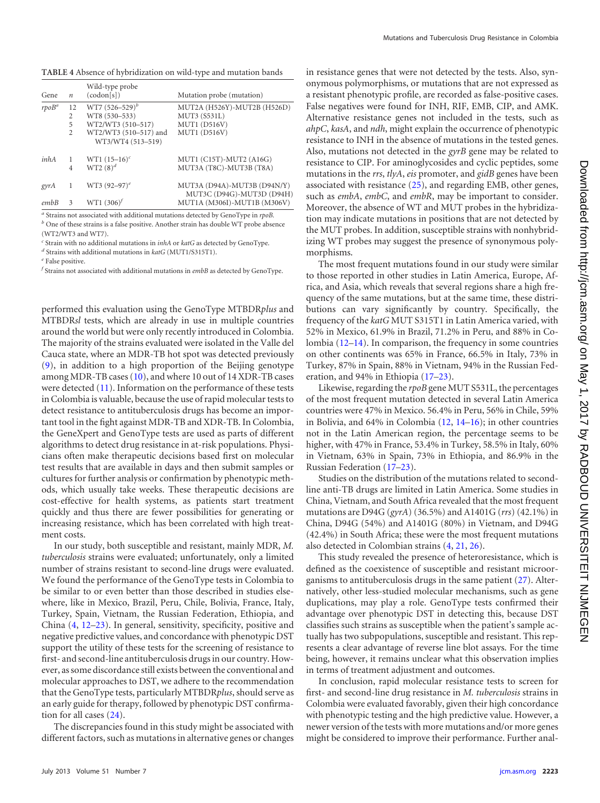<span id="page-3-0"></span>

|          | 12                       |                       |                                                          |
|----------|--------------------------|-----------------------|----------------------------------------------------------|
| $rpoB^a$ |                          | $WT7 (526 - 529)^b$   | MUT2A (H526Y)-MUT2B (H526D)                              |
|          | 2                        | WT8 (530-533)         | MUT3 (S531L)                                             |
|          | 5                        | WT2/WT3 (510-517)     | <b>MUT1 (D516V)</b>                                      |
|          | $\mathfrak{D}$           | WT2/WT3 (510-517) and | <b>MUT1 (D516V)</b>                                      |
|          |                          | WT3/WT4 (513-519)     |                                                          |
| inhA     | 1                        | WT1 $(15-16)^c$       | MUT1 (C15T)-MUT2 (A16G)                                  |
|          | $\overline{4}$           | $WT2(8)^d$            | MUT3A (T8C)-MUT3B (T8A)                                  |
| gyrA     |                          | WT3 $(92-97)^e$       | MUT3A (D94A)-MUT3B (D94N/Y)<br>MUT3C (D94G)-MUT3D (D94H) |
| embB     | $\overline{\mathcal{E}}$ | $WT1 (306)^f$         | MUT1A (M306I)-MUT1B (M306V)                              |

*<sup>a</sup>* Strains not associated with additional mutations detected by GenoType in *rpoB. <sup>b</sup>* One of these strains is a false positive. Another strain has double WT probe absence (WT2/WT3 and WT7).

*<sup>c</sup>* Strain with no additional mutations in *inhA* or *katG* as detected by GenoType.

*<sup>d</sup>* Strains with additional mutations in *katG* (MUT1/S315T1).

*<sup>e</sup>* False positive.

*f* Strains not associated with additional mutations in *embB* as detected by GenoType.

performed this evaluation using the GenoType MTBDR*plus* and MTBDR*sl* tests, which are already in use in multiple countries around the world but were only recently introduced in Colombia. The majority of the strains evaluated were isolated in the Valle del Cauca state, where an MDR-TB hot spot was detected previously [\(9\)](#page-4-8), in addition to a high proportion of the Beijing genotype among MDR-TB cases [\(10\)](#page-4-9), and where 10 out of 14 XDR-TB cases were detected [\(11\)](#page-4-10). Information on the performance of these tests in Colombia is valuable, because the use of rapid molecular tests to detect resistance to antituberculosis drugs has become an important tool in the fight against MDR-TB and XDR-TB. In Colombia, the GeneXpert and GenoType tests are used as parts of different algorithms to detect drug resistance in at-risk populations. Physicians often make therapeutic decisions based first on molecular test results that are available in days and then submit samples or cultures for further analysis or confirmation by phenotypic methods, which usually take weeks. These therapeutic decisions are cost-effective for health systems, as patients start treatment quickly and thus there are fewer possibilities for generating or increasing resistance, which has been correlated with high treatment costs.

In our study, both susceptible and resistant, mainly MDR, *M. tuberculosis* strains were evaluated; unfortunately, only a limited number of strains resistant to second-line drugs were evaluated. We found the performance of the GenoType tests in Colombia to be similar to or even better than those described in studies elsewhere, like in Mexico, Brazil, Peru, Chile, Bolivia, France, Italy, Turkey, Spain, Vietnam, the Russian Federation, Ethiopia, and China [\(4,](#page-4-3) [12](#page-4-11)[–23\)](#page-4-12). In general, sensitivity, specificity, positive and negative predictive values, and concordance with phenotypic DST support the utility of these tests for the screening of resistance to first- and second-line antituberculosis drugs in our country. However, as some discordance still exists between the conventional and molecular approaches to DST, we adhere to the recommendation that the GenoType tests, particularly MTBDR*plus*, should serve as an early guide for therapy, followed by phenotypic DST confirmation for all cases [\(24\)](#page-4-13).

The discrepancies found in this study might be associated with different factors, such as mutations in alternative genes or changes in resistance genes that were not detected by the tests. Also, synonymous polymorphisms, or mutations that are not expressed as a resistant phenotypic profile, are recorded as false-positive cases. False negatives were found for INH, RIF, EMB, CIP, and AMK. Alternative resistance genes not included in the tests, such as *ahpC*, *kasA*, and *ndh*, might explain the occurrence of phenotypic resistance to INH in the absence of mutations in the tested genes. Also, mutations not detected in the *gyrB* gene may be related to resistance to CIP. For aminoglycosides and cyclic peptides, some mutations in the *rrs*, *tlyA*, *eis* promoter, and *gidB* genes have been associated with resistance [\(25\)](#page-4-14), and regarding EMB, other genes, such as *embA*, *embC*, and *embR*, may be important to consider. Moreover, the absence of WT and MUT probes in the hybridization may indicate mutations in positions that are not detected by the MUT probes. In addition, susceptible strains with nonhybridizing WT probes may suggest the presence of synonymous polymorphisms.

The most frequent mutations found in our study were similar to those reported in other studies in Latin America, Europe, Africa, and Asia, which reveals that several regions share a high frequency of the same mutations, but at the same time, these distributions can vary significantly by country. Specifically, the frequency of the *katG* MUT S315T1 in Latin America varied, with 52% in Mexico, 61.9% in Brazil, 71.2% in Peru, and 88% in Colombia [\(12–](#page-4-11)[14\)](#page-4-15). In comparison, the frequency in some countries on other continents was 65% in France, 66.5% in Italy, 73% in Turkey, 87% in Spain, 88% in Vietnam, 94% in the Russian Federation, and 94% in Ethiopia [\(17–](#page-4-16)[23\)](#page-4-12).

Likewise, regarding the *rpoB* gene MUT S531L, the percentages of the most frequent mutation detected in several Latin America countries were 47% in Mexico. 56.4% in Peru, 56% in Chile, 59% in Bolivia, and 64% in Colombia [\(12,](#page-4-11) [14](#page-4-15)[–16\)](#page-4-17); in other countries not in the Latin American region, the percentage seems to be higher, with 47% in France, 53.4% in Turkey, 58.5% in Italy, 60% in Vietnam, 63% in Spain, 73% in Ethiopia, and 86.9% in the Russian Federation [\(17](#page-4-16)[–23\)](#page-4-12).

Studies on the distribution of the mutations related to secondline anti-TB drugs are limited in Latin America. Some studies in China, Vietnam, and South Africa revealed that the most frequent mutations are D94G (*gyrA*) (36.5%) and A1401G (*rrs*) (42.1%) in China, D94G (54%) and A1401G (80%) in Vietnam, and D94G (42.4%) in South Africa; these were the most frequent mutations also detected in Colombian strains [\(4,](#page-4-3) [21,](#page-4-18) [26\)](#page-4-19).

This study revealed the presence of heteroresistance, which is defined as the coexistence of susceptible and resistant microorganisms to antituberculosis drugs in the same patient [\(27\)](#page-4-20). Alternatively, other less-studied molecular mechanisms, such as gene duplications, may play a role. GenoType tests confirmed their advantage over phenotypic DST in detecting this, because DST classifies such strains as susceptible when the patient's sample actually has two subpopulations, susceptible and resistant. This represents a clear advantage of reverse line blot assays. For the time being, however, it remains unclear what this observation implies in terms of treatment adjustment and outcomes.

In conclusion, rapid molecular resistance tests to screen for first- and second-line drug resistance in *M. tuberculosis* strains in Colombia were evaluated favorably, given their high concordance with phenotypic testing and the high predictive value. However, a newer version of the tests with more mutations and/or more genes might be considered to improve their performance. Further anal